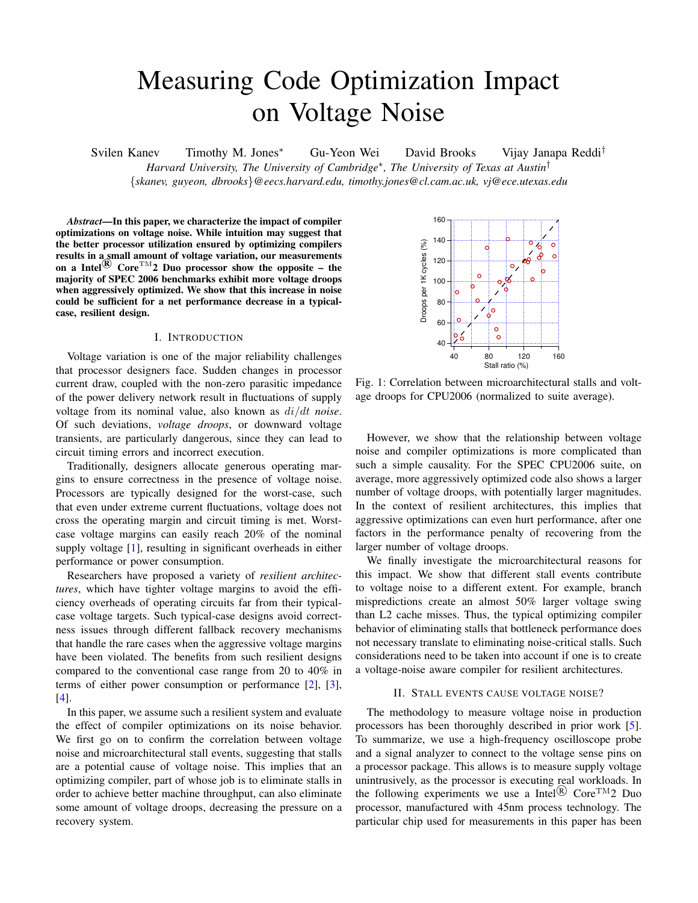# Measuring Code Optimization Impact on Voltage Noise

Svilen Kanev Timothy M. Jones<sup>\*</sup> Gu-Yeon Wei David Brooks Vijay Janapa Reddi<sup>†</sup>

*Harvard University, The University of Cambridge<sup>\*</sup>, The University of Texas at Austin<sup>†</sup>* 

*{skanev, guyeon, dbrooks}@eecs.harvard.edu, timothy.jones@cl.cam.ac.uk, vj@ece.utexas.edu*

*Abstract*—In this paper, we characterize the impact of compiler optimizations on voltage noise. While intuition may suggest that the better processor utilization ensured by optimizing compilers results in a small amount of voltage variation, our measurements on a Intel<sup>(R)</sup> Core<sup>TM</sup>2 Duo processor show the opposite – the majority of SPEC 2006 benchmarks exhibit more voltage droops when aggressively optimized. We show that this increase in noise could be sufficient for a net performance decrease in a typicalcase, resilient design.

## I. INTRODUCTION

Voltage variation is one of the major reliability challenges that processor designers face. Sudden changes in processor current draw, coupled with the non-zero parasitic impedance of the power delivery network result in fluctuations of supply voltage from its nominal value, also known as *di/dt noise*. Of such deviations, *voltage droops*, or downward voltage transients, are particularly dangerous, since they can lead to circuit timing errors and incorrect execution.

Traditionally, designers allocate generous operating margins to ensure correctness in the presence of voltage noise. Processors are typically designed for the worst-case, such that even under extreme current fluctuations, voltage does not cross the operating margin and circuit timing is met. Worstcase voltage margins can easily reach 20% of the nominal supply voltage [\[1\]](#page-4-0), resulting in significant overheads in either performance or power consumption.

Researchers have proposed a variety of *resilient architectures*, which have tighter voltage margins to avoid the efficiency overheads of operating circuits far from their typicalcase voltage targets. Such typical-case designs avoid correctness issues through different fallback recovery mechanisms that handle the rare cases when the aggressive voltage margins have been violated. The benefits from such resilient designs compared to the conventional case range from 20 to 40% in terms of either power consumption or performance [\[2\]](#page-4-1), [\[3\]](#page-4-2), [\[4\]](#page-4-3).

In this paper, we assume such a resilient system and evaluate the effect of compiler optimizations on its noise behavior. We first go on to confirm the correlation between voltage noise and microarchitectural stall events, suggesting that stalls are a potential cause of voltage noise. This implies that an optimizing compiler, part of whose job is to eliminate stalls in order to achieve better machine throughput, can also eliminate some amount of voltage droops, decreasing the pressure on a recovery system.

<span id="page-0-0"></span>

Fig. 1: Correlation between microarchitectural stalls and voltage droops for CPU2006 (normalized to suite average).

However, we show that the relationship between voltage noise and compiler optimizations is more complicated than such a simple causality. For the SPEC CPU2006 suite, on average, more aggressively optimized code also shows a larger number of voltage droops, with potentially larger magnitudes. In the context of resilient architectures, this implies that aggressive optimizations can even hurt performance, after one factors in the performance penalty of recovering from the larger number of voltage droops.

We finally investigate the microarchitectural reasons for this impact. We show that different stall events contribute to voltage noise to a different extent. For example, branch mispredictions create an almost 50% larger voltage swing than L2 cache misses. Thus, the typical optimizing compiler behavior of eliminating stalls that bottleneck performance does not necessary translate to eliminating noise-critical stalls. Such considerations need to be taken into account if one is to create a voltage-noise aware compiler for resilient architectures.

#### II. STALL EVENTS CAUSE VOLTAGE NOISE?

The methodology to measure voltage noise in production processors has been thoroughly described in prior work [\[5\]](#page-4-4). To summarize, we use a high-frequency oscilloscope probe and a signal analyzer to connect to the voltage sense pins on a processor package. This allows is to measure supply voltage unintrusively, as the processor is executing real workloads. In the following experiments we use a Intel<sup>(R)</sup> Core<sup>TM</sup>2 Duo processor, manufactured with 45nm process technology. The particular chip used for measurements in this paper has been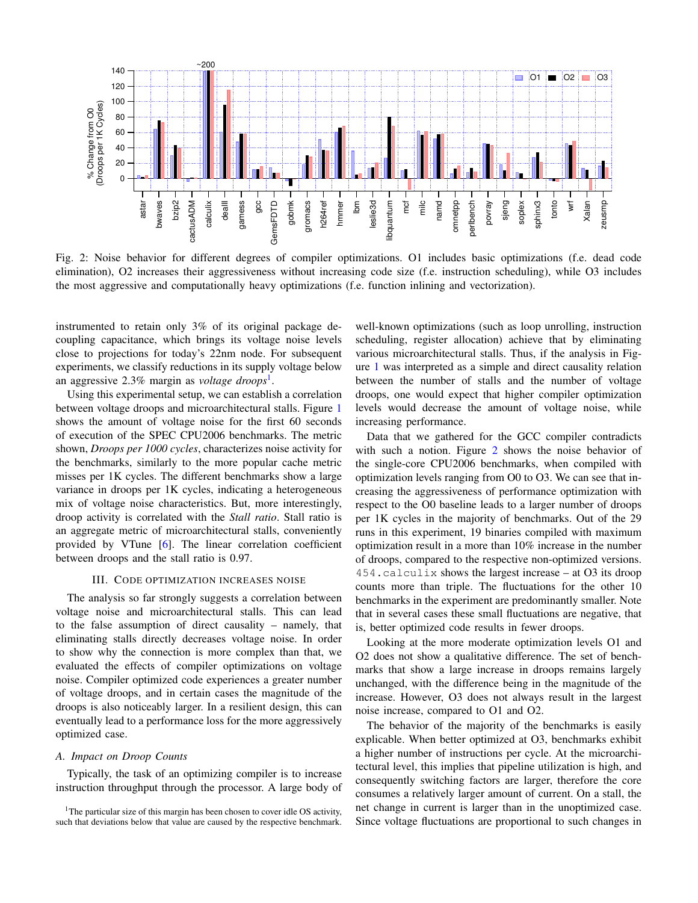<span id="page-1-1"></span>

Fig. 2: Noise behavior for different degrees of compiler optimizations. O1 includes basic optimizations (f.e. dead code elimination), O2 increases their aggressiveness without increasing code size (f.e. instruction scheduling), while O3 includes the most aggressive and computationally heavy optimizations (f.e. function inlining and vectorization).

instrumented to retain only 3% of its original package decoupling capacitance, which brings its voltage noise levels close to projections for today's 22nm node. For subsequent experiments, we classify reductions in its supply voltage below an aggressive 2.3% margin as *voltage droops*[1.](#page-1-0)

Using this experimental setup, we can establish a correlation between voltage droops and microarchitectural stalls. Figure [1](#page-0-0) shows the amount of voltage noise for the first 60 seconds of execution of the SPEC CPU2006 benchmarks. The metric shown, *Droops per 1000 cycles*, characterizes noise activity for the benchmarks, similarly to the more popular cache metric misses per 1K cycles. The different benchmarks show a large variance in droops per 1K cycles, indicating a heterogeneous mix of voltage noise characteristics. But, more interestingly, droop activity is correlated with the *Stall ratio*. Stall ratio is an aggregate metric of microarchitectural stalls, conveniently provided by VTune [\[6\]](#page-4-5). The linear correlation coefficient between droops and the stall ratio is 0.97.

#### III. CODE OPTIMIZATION INCREASES NOISE

The analysis so far strongly suggests a correlation between voltage noise and microarchitectural stalls. This can lead to the false assumption of direct causality – namely, that eliminating stalls directly decreases voltage noise. In order to show why the connection is more complex than that, we evaluated the effects of compiler optimizations on voltage noise. Compiler optimized code experiences a greater number of voltage droops, and in certain cases the magnitude of the droops is also noticeably larger. In a resilient design, this can eventually lead to a performance loss for the more aggressively optimized case.

#### *A. Impact on Droop Counts*

Typically, the task of an optimizing compiler is to increase instruction throughput through the processor. A large body of

well-known optimizations (such as loop unrolling, instruction scheduling, register allocation) achieve that by eliminating various microarchitectural stalls. Thus, if the analysis in Figure [1](#page-0-0) was interpreted as a simple and direct causality relation between the number of stalls and the number of voltage droops, one would expect that higher compiler optimization levels would decrease the amount of voltage noise, while increasing performance.

Data that we gathered for the GCC compiler contradicts with such a notion. Figure [2](#page-1-1) shows the noise behavior of the single-core CPU2006 benchmarks, when compiled with optimization levels ranging from O0 to O3. We can see that increasing the aggressiveness of performance optimization with respect to the O0 baseline leads to a larger number of droops per 1K cycles in the majority of benchmarks. Out of the 29 runs in this experiment, 19 binaries compiled with maximum optimization result in a more than 10% increase in the number of droops, compared to the respective non-optimized versions. 454.calculix shows the largest increase – at O3 its droop counts more than triple. The fluctuations for the other 10 benchmarks in the experiment are predominantly smaller. Note that in several cases these small fluctuations are negative, that is, better optimized code results in fewer droops.

Looking at the more moderate optimization levels O1 and O2 does not show a qualitative difference. The set of benchmarks that show a large increase in droops remains largely unchanged, with the difference being in the magnitude of the increase. However, O3 does not always result in the largest noise increase, compared to O1 and O2.

The behavior of the majority of the benchmarks is easily explicable. When better optimized at O3, benchmarks exhibit a higher number of instructions per cycle. At the microarchitectural level, this implies that pipeline utilization is high, and consequently switching factors are larger, therefore the core consumes a relatively larger amount of current. On a stall, the net change in current is larger than in the unoptimized case. Since voltage fluctuations are proportional to such changes in

<span id="page-1-0"></span><sup>&</sup>lt;sup>1</sup>The particular size of this margin has been chosen to cover idle OS activity, such that deviations below that value are caused by the respective benchmark.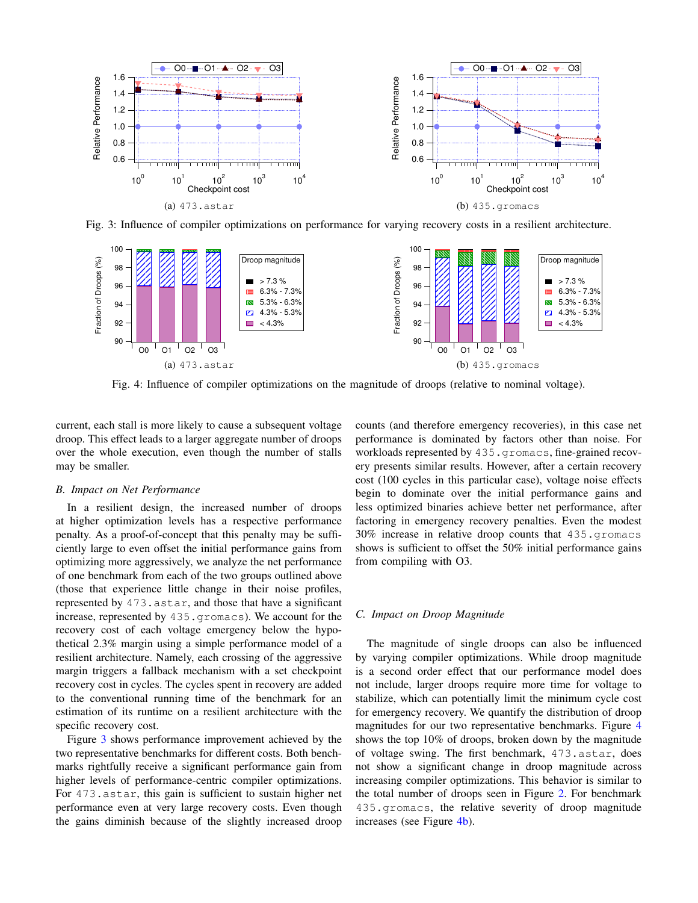<span id="page-2-0"></span>

Fig. 3: Influence of compiler optimizations on performance for varying recovery costs in a resilient architecture.

<span id="page-2-1"></span>

Fig. 4: Influence of compiler optimizations on the magnitude of droops (relative to nominal voltage).

current, each stall is more likely to cause a subsequent voltage droop. This effect leads to a larger aggregate number of droops over the whole execution, even though the number of stalls may be smaller.

# *B. Impact on Net Performance*

In a resilient design, the increased number of droops at higher optimization levels has a respective performance penalty. As a proof-of-concept that this penalty may be sufficiently large to even offset the initial performance gains from optimizing more aggressively, we analyze the net performance of one benchmark from each of the two groups outlined above (those that experience little change in their noise profiles, represented by 473.astar, and those that have a significant increase, represented by 435.gromacs). We account for the recovery cost of each voltage emergency below the hypothetical 2.3% margin using a simple performance model of a resilient architecture. Namely, each crossing of the aggressive margin triggers a fallback mechanism with a set checkpoint recovery cost in cycles. The cycles spent in recovery are added to the conventional running time of the benchmark for an estimation of its runtime on a resilient architecture with the specific recovery cost.

Figure [3](#page-2-0) shows performance improvement achieved by the two representative benchmarks for different costs. Both benchmarks rightfully receive a significant performance gain from higher levels of performance-centric compiler optimizations. For 473.astar, this gain is sufficient to sustain higher net performance even at very large recovery costs. Even though the gains diminish because of the slightly increased droop

counts (and therefore emergency recoveries), in this case net performance is dominated by factors other than noise. For workloads represented by 435. gromacs, fine-grained recovery presents similar results. However, after a certain recovery cost (100 cycles in this particular case), voltage noise effects begin to dominate over the initial performance gains and less optimized binaries achieve better net performance, after factoring in emergency recovery penalties. Even the modest 30% increase in relative droop counts that 435.gromacs shows is sufficient to offset the 50% initial performance gains from compiling with O3.

## *C. Impact on Droop Magnitude*

The magnitude of single droops can also be influenced by varying compiler optimizations. While droop magnitude is a second order effect that our performance model does not include, larger droops require more time for voltage to stabilize, which can potentially limit the minimum cycle cost for emergency recovery. We quantify the distribution of droop magnitudes for our two representative benchmarks. Figure [4](#page-2-1) shows the top 10% of droops, broken down by the magnitude of voltage swing. The first benchmark, 473.astar, does not show a significant change in droop magnitude across increasing compiler optimizations. This behavior is similar to the total number of droops seen in Figure [2.](#page-1-1) For benchmark 435.gromacs, the relative severity of droop magnitude increases (see Figure [4b\)](#page-2-1).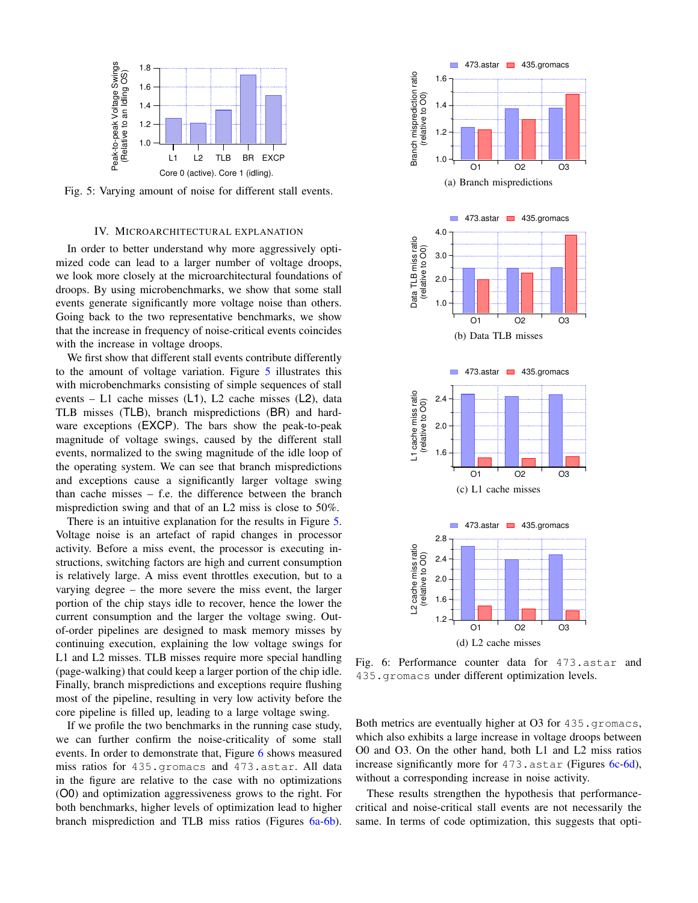<span id="page-3-0"></span>

Fig. 5: Varying amount of noise for different stall events.

# IV. MICROARCHITECTURAL EXPLANATION

In order to better understand why more aggressively optimized code can lead to a larger number of voltage droops, we look more closely at the microarchitectural foundations of droops. By using microbenchmarks, we show that some stall events generate significantly more voltage noise than others. Going back to the two representative benchmarks, we show that the increase in frequency of noise-critical events coincides with the increase in voltage droops.

We first show that different stall events contribute differently to the amount of voltage variation. Figure [5](#page-3-0) illustrates this with microbenchmarks consisting of simple sequences of stall events – L1 cache misses (L1), L2 cache misses (L2), data TLB misses (TLB), branch mispredictions (BR) and hardware exceptions (EXCP). The bars show the peak-to-peak magnitude of voltage swings, caused by the different stall events, normalized to the swing magnitude of the idle loop of the operating system. We can see that branch mispredictions and exceptions cause a significantly larger voltage swing than cache misses – f.e. the difference between the branch misprediction swing and that of an L2 miss is close to 50%.

There is an intuitive explanation for the results in Figure [5.](#page-3-0) Voltage noise is an artefact of rapid changes in processor activity. Before a miss event, the processor is executing instructions, switching factors are high and current consumption is relatively large. A miss event throttles execution, but to a varying degree – the more severe the miss event, the larger portion of the chip stays idle to recover, hence the lower the current consumption and the larger the voltage swing. Outof-order pipelines are designed to mask memory misses by continuing execution, explaining the low voltage swings for L1 and L2 misses. TLB misses require more special handling (page-walking) that could keep a larger portion of the chip idle. Finally, branch mispredictions and exceptions require flushing most of the pipeline, resulting in very low activity before the core pipeline is filled up, leading to a large voltage swing.

If we profile the two benchmarks in the running case study, we can further confirm the noise-criticality of some stall events. In order to demonstrate that, Figure [6](#page-3-1) shows measured miss ratios for 435.gromacs and 473.astar. All data in the figure are relative to the case with no optimizations (O0) and optimization aggressiveness grows to the right. For both benchmarks, higher levels of optimization lead to higher branch misprediction and TLB miss ratios (Figures [6a-6b\)](#page-3-1).

<span id="page-3-1"></span>

(d) L2 cache misses

Fig. 6: Performance counter data for 473.astar and 435.gromacs under different optimization levels.

Both metrics are eventually higher at O3 for 435.gromacs, which also exhibits a large increase in voltage droops between O0 and O3. On the other hand, both L1 and L2 miss ratios increase significantly more for 473. astar (Figures [6c-6d\)](#page-3-1), without a corresponding increase in noise activity.

These results strengthen the hypothesis that performancecritical and noise-critical stall events are not necessarily the same. In terms of code optimization, this suggests that opti